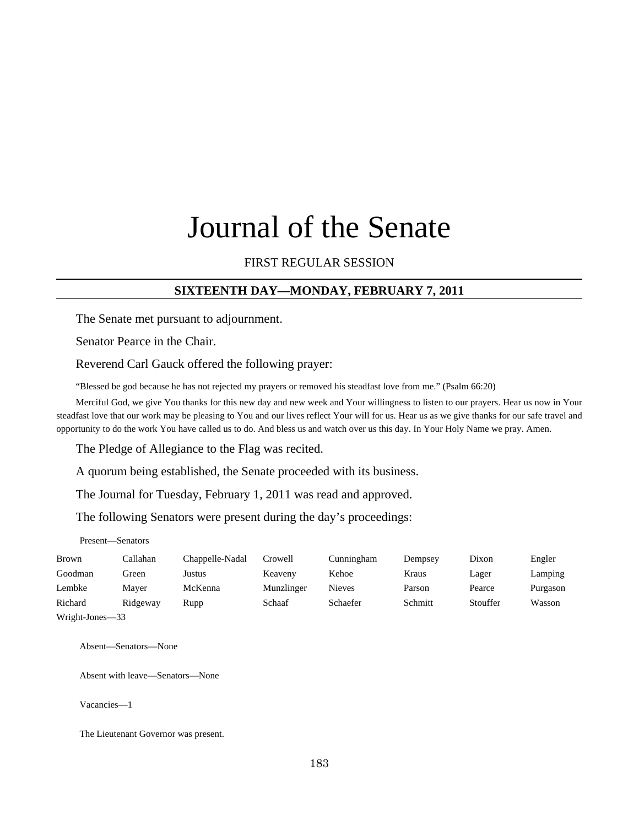# Journal of the Senate

## FIRST REGULAR SESSION

## **SIXTEENTH DAY—MONDAY, FEBRUARY 7, 2011**

The Senate met pursuant to adjournment.

Senator Pearce in the Chair.

Reverend Carl Gauck offered the following prayer:

"Blessed be god because he has not rejected my prayers or removed his steadfast love from me." (Psalm 66:20)

Merciful God, we give You thanks for this new day and new week and Your willingness to listen to our prayers. Hear us now in Your steadfast love that our work may be pleasing to You and our lives reflect Your will for us. Hear us as we give thanks for our safe travel and opportunity to do the work You have called us to do. And bless us and watch over us this day. In Your Holy Name we pray. Amen.

The Pledge of Allegiance to the Flag was recited.

A quorum being established, the Senate proceeded with its business.

The Journal for Tuesday, February 1, 2011 was read and approved.

The following Senators were present during the day's proceedings:

Present—Senators

| <b>Brown</b> | Callahan | Chappelle-Nadal | Crowell    | Cunningham    | Dempsey | Dixon    | Engler   |
|--------------|----------|-----------------|------------|---------------|---------|----------|----------|
| Goodman      | Green    | Justus          | Keaveny    | Kehoe         | Kraus   | Lager    | Lamping  |
| Lembke       | Maver    | McKenna         | Munzlinger | <b>Nieves</b> | Parson  | Pearce   | Purgason |
| Richard      | Ridgeway | Rupp            | Schaaf     | Schaefer      | Schmitt | Stouffer | Wasson   |
|              |          |                 |            |               |         |          |          |

Wright-Jones—33

Absent—Senators—None

Absent with leave—Senators—None

Vacancies—1

The Lieutenant Governor was present.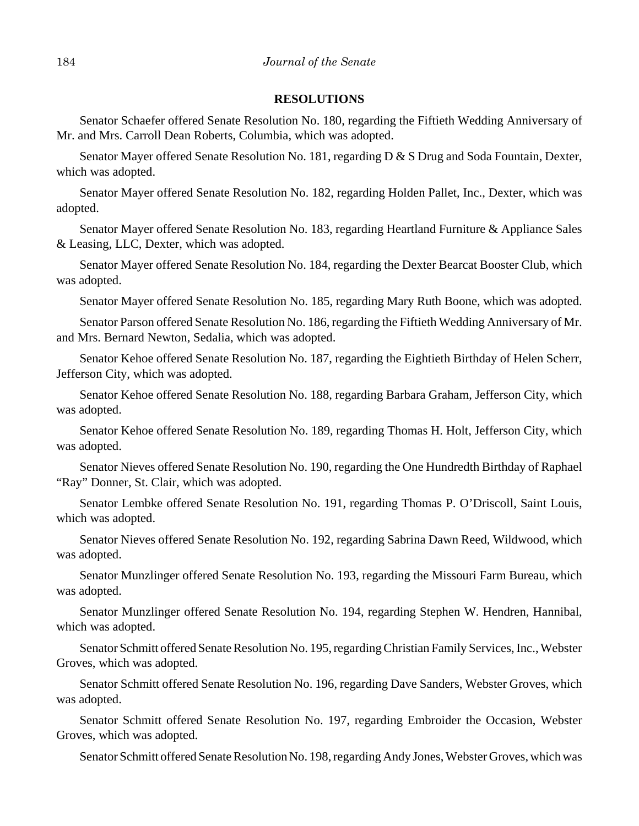## **RESOLUTIONS**

Senator Schaefer offered Senate Resolution No. 180, regarding the Fiftieth Wedding Anniversary of Mr. and Mrs. Carroll Dean Roberts, Columbia, which was adopted.

Senator Mayer offered Senate Resolution No. 181, regarding D & S Drug and Soda Fountain, Dexter, which was adopted.

Senator Mayer offered Senate Resolution No. 182, regarding Holden Pallet, Inc., Dexter, which was adopted.

Senator Mayer offered Senate Resolution No. 183, regarding Heartland Furniture & Appliance Sales & Leasing, LLC, Dexter, which was adopted.

Senator Mayer offered Senate Resolution No. 184, regarding the Dexter Bearcat Booster Club, which was adopted.

Senator Mayer offered Senate Resolution No. 185, regarding Mary Ruth Boone, which was adopted.

Senator Parson offered Senate Resolution No. 186, regarding the Fiftieth Wedding Anniversary of Mr. and Mrs. Bernard Newton, Sedalia, which was adopted.

Senator Kehoe offered Senate Resolution No. 187, regarding the Eightieth Birthday of Helen Scherr, Jefferson City, which was adopted.

Senator Kehoe offered Senate Resolution No. 188, regarding Barbara Graham, Jefferson City, which was adopted.

Senator Kehoe offered Senate Resolution No. 189, regarding Thomas H. Holt, Jefferson City, which was adopted.

Senator Nieves offered Senate Resolution No. 190, regarding the One Hundredth Birthday of Raphael "Ray" Donner, St. Clair, which was adopted.

Senator Lembke offered Senate Resolution No. 191, regarding Thomas P. O'Driscoll, Saint Louis, which was adopted.

Senator Nieves offered Senate Resolution No. 192, regarding Sabrina Dawn Reed, Wildwood, which was adopted.

Senator Munzlinger offered Senate Resolution No. 193, regarding the Missouri Farm Bureau, which was adopted.

Senator Munzlinger offered Senate Resolution No. 194, regarding Stephen W. Hendren, Hannibal, which was adopted.

Senator Schmitt offered Senate Resolution No. 195, regarding Christian Family Services, Inc., Webster Groves, which was adopted.

Senator Schmitt offered Senate Resolution No. 196, regarding Dave Sanders, Webster Groves, which was adopted.

Senator Schmitt offered Senate Resolution No. 197, regarding Embroider the Occasion, Webster Groves, which was adopted.

Senator Schmitt offered Senate Resolution No. 198, regarding Andy Jones, Webster Groves, which was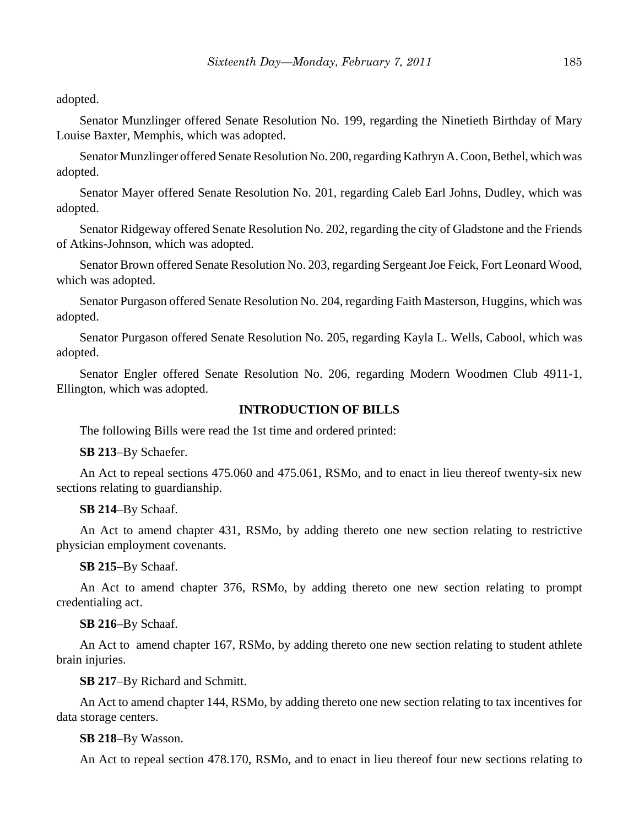adopted.

Senator Munzlinger offered Senate Resolution No. 199, regarding the Ninetieth Birthday of Mary Louise Baxter, Memphis, which was adopted.

Senator Munzlinger offered Senate Resolution No. 200, regarding Kathryn A. Coon, Bethel, which was adopted.

Senator Mayer offered Senate Resolution No. 201, regarding Caleb Earl Johns, Dudley, which was adopted.

Senator Ridgeway offered Senate Resolution No. 202, regarding the city of Gladstone and the Friends of Atkins-Johnson, which was adopted.

Senator Brown offered Senate Resolution No. 203, regarding Sergeant Joe Feick, Fort Leonard Wood, which was adopted.

Senator Purgason offered Senate Resolution No. 204, regarding Faith Masterson, Huggins, which was adopted.

Senator Purgason offered Senate Resolution No. 205, regarding Kayla L. Wells, Cabool, which was adopted.

Senator Engler offered Senate Resolution No. 206, regarding Modern Woodmen Club 4911-1, Ellington, which was adopted.

## **INTRODUCTION OF BILLS**

The following Bills were read the 1st time and ordered printed:

**SB 213**–By Schaefer.

An Act to repeal sections 475.060 and 475.061, RSMo, and to enact in lieu thereof twenty-six new sections relating to guardianship.

**SB 214**–By Schaaf.

An Act to amend chapter 431, RSMo, by adding thereto one new section relating to restrictive physician employment covenants.

**SB 215**–By Schaaf.

An Act to amend chapter 376, RSMo, by adding thereto one new section relating to prompt credentialing act.

**SB 216**–By Schaaf.

An Act to amend chapter 167, RSMo, by adding thereto one new section relating to student athlete brain injuries.

**SB 217**–By Richard and Schmitt.

An Act to amend chapter 144, RSMo, by adding thereto one new section relating to tax incentives for data storage centers.

#### **SB 218**–By Wasson.

An Act to repeal section 478.170, RSMo, and to enact in lieu thereof four new sections relating to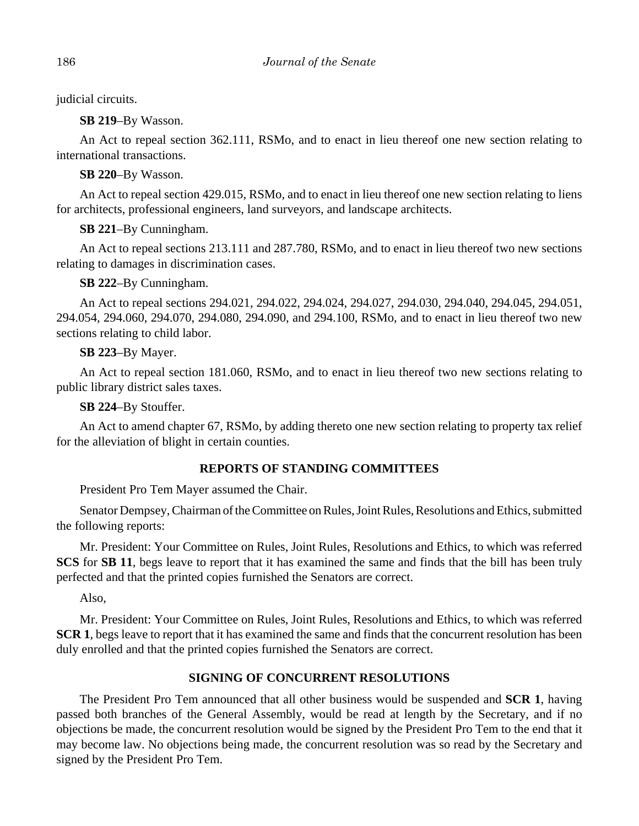judicial circuits.

**SB 219**–By Wasson.

An Act to repeal section 362.111, RSMo, and to enact in lieu thereof one new section relating to international transactions.

**SB 220**–By Wasson.

An Act to repeal section 429.015, RSMo, and to enact in lieu thereof one new section relating to liens for architects, professional engineers, land surveyors, and landscape architects.

**SB 221**–By Cunningham.

An Act to repeal sections 213.111 and 287.780, RSMo, and to enact in lieu thereof two new sections relating to damages in discrimination cases.

**SB 222**–By Cunningham.

An Act to repeal sections 294.021, 294.022, 294.024, 294.027, 294.030, 294.040, 294.045, 294.051, 294.054, 294.060, 294.070, 294.080, 294.090, and 294.100, RSMo, and to enact in lieu thereof two new sections relating to child labor.

**SB 223**–By Mayer.

An Act to repeal section 181.060, RSMo, and to enact in lieu thereof two new sections relating to public library district sales taxes.

**SB 224**–By Stouffer.

An Act to amend chapter 67, RSMo, by adding thereto one new section relating to property tax relief for the alleviation of blight in certain counties.

## **REPORTS OF STANDING COMMITTEES**

President Pro Tem Mayer assumed the Chair.

Senator Dempsey, Chairman of the Committee on Rules, Joint Rules, Resolutions and Ethics, submitted the following reports:

Mr. President: Your Committee on Rules, Joint Rules, Resolutions and Ethics, to which was referred **SCS** for **SB 11**, begs leave to report that it has examined the same and finds that the bill has been truly perfected and that the printed copies furnished the Senators are correct.

Also,

Mr. President: Your Committee on Rules, Joint Rules, Resolutions and Ethics, to which was referred **SCR 1**, begs leave to report that it has examined the same and finds that the concurrent resolution has been duly enrolled and that the printed copies furnished the Senators are correct.

## **SIGNING OF CONCURRENT RESOLUTIONS**

The President Pro Tem announced that all other business would be suspended and **SCR 1**, having passed both branches of the General Assembly, would be read at length by the Secretary, and if no objections be made, the concurrent resolution would be signed by the President Pro Tem to the end that it may become law. No objections being made, the concurrent resolution was so read by the Secretary and signed by the President Pro Tem.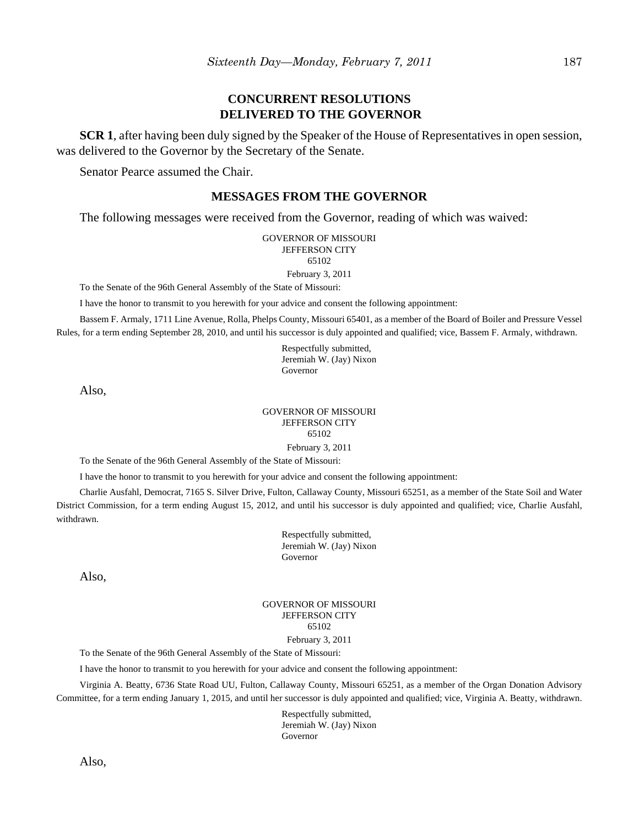## **CONCURRENT RESOLUTIONS DELIVERED TO THE GOVERNOR**

**SCR 1**, after having been duly signed by the Speaker of the House of Representatives in open session, was delivered to the Governor by the Secretary of the Senate.

Senator Pearce assumed the Chair.

## **MESSAGES FROM THE GOVERNOR**

The following messages were received from the Governor, reading of which was waived:

GOVERNOR OF MISSOURI JEFFERSON CITY 65102 February 3, 2011

To the Senate of the 96th General Assembly of the State of Missouri:

I have the honor to transmit to you herewith for your advice and consent the following appointment:

Bassem F. Armaly, 1711 Line Avenue, Rolla, Phelps County, Missouri 65401, as a member of the Board of Boiler and Pressure Vessel Rules, for a term ending September 28, 2010, and until his successor is duly appointed and qualified; vice, Bassem F. Armaly, withdrawn.

> Respectfully submitted, Jeremiah W. (Jay) Nixon Governor

Also,

#### GOVERNOR OF MISSOURI JEFFERSON CITY 65102 February 3, 2011

To the Senate of the 96th General Assembly of the State of Missouri:

I have the honor to transmit to you herewith for your advice and consent the following appointment:

Charlie Ausfahl, Democrat, 7165 S. Silver Drive, Fulton, Callaway County, Missouri 65251, as a member of the State Soil and Water District Commission, for a term ending August 15, 2012, and until his successor is duly appointed and qualified; vice, Charlie Ausfahl, withdrawn.

> Respectfully submitted, Jeremiah W. (Jay) Nixon Governor

Also,

#### GOVERNOR OF MISSOURI JEFFERSON CITY 65102

#### February 3, 2011

To the Senate of the 96th General Assembly of the State of Missouri:

I have the honor to transmit to you herewith for your advice and consent the following appointment:

Virginia A. Beatty, 6736 State Road UU, Fulton, Callaway County, Missouri 65251, as a member of the Organ Donation Advisory Committee, for a term ending January 1, 2015, and until her successor is duly appointed and qualified; vice, Virginia A. Beatty, withdrawn.

> Respectfully submitted, Jeremiah W. (Jay) Nixon Governor

Also,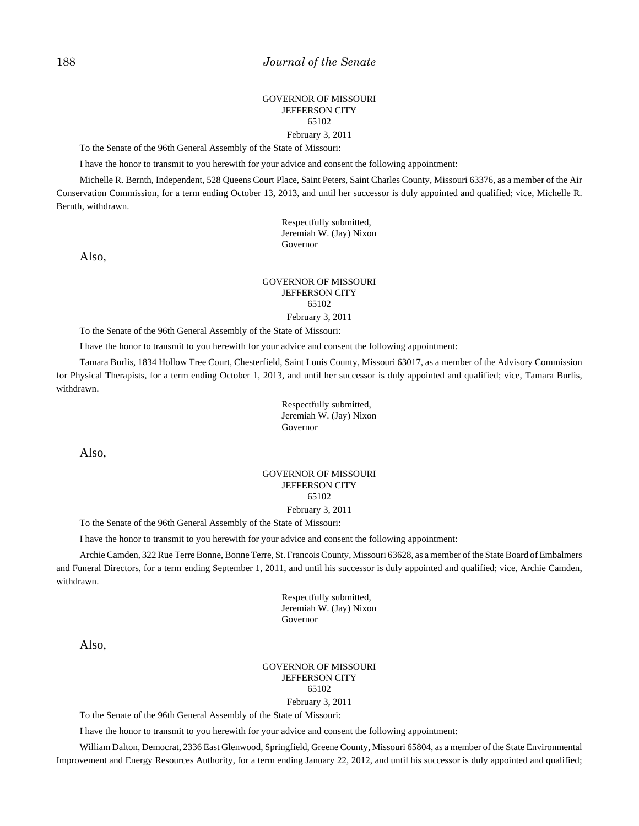#### GOVERNOR OF MISSOURI JEFFERSON CITY 65102 February 3, 2011

To the Senate of the 96th General Assembly of the State of Missouri:

I have the honor to transmit to you herewith for your advice and consent the following appointment:

Michelle R. Bernth, Independent, 528 Queens Court Place, Saint Peters, Saint Charles County, Missouri 63376, as a member of the Air Conservation Commission, for a term ending October 13, 2013, and until her successor is duly appointed and qualified; vice, Michelle R. Bernth, withdrawn.

> Respectfully submitted, Jeremiah W. (Jay) Nixon Governor

Also,

#### GOVERNOR OF MISSOURI JEFFERSON CITY 65102 February 3, 2011

To the Senate of the 96th General Assembly of the State of Missouri:

I have the honor to transmit to you herewith for your advice and consent the following appointment:

Tamara Burlis, 1834 Hollow Tree Court, Chesterfield, Saint Louis County, Missouri 63017, as a member of the Advisory Commission for Physical Therapists, for a term ending October 1, 2013, and until her successor is duly appointed and qualified; vice, Tamara Burlis, withdrawn.

> Respectfully submitted, Jeremiah W. (Jay) Nixon Governor

Also,

#### GOVERNOR OF MISSOURI JEFFERSON CITY 65102 February 3, 2011

To the Senate of the 96th General Assembly of the State of Missouri:

I have the honor to transmit to you herewith for your advice and consent the following appointment:

Archie Camden, 322 Rue Terre Bonne, Bonne Terre, St. Francois County, Missouri 63628, as a member of the State Board of Embalmers and Funeral Directors, for a term ending September 1, 2011, and until his successor is duly appointed and qualified; vice, Archie Camden, withdrawn.

> Respectfully submitted, Jeremiah W. (Jay) Nixon Governor

Also,

GOVERNOR OF MISSOURI JEFFERSON CITY 65102 February 3, 2011

To the Senate of the 96th General Assembly of the State of Missouri:

I have the honor to transmit to you herewith for your advice and consent the following appointment:

William Dalton, Democrat, 2336 East Glenwood, Springfield, Greene County, Missouri 65804, as a member of the State Environmental Improvement and Energy Resources Authority, for a term ending January 22, 2012, and until his successor is duly appointed and qualified;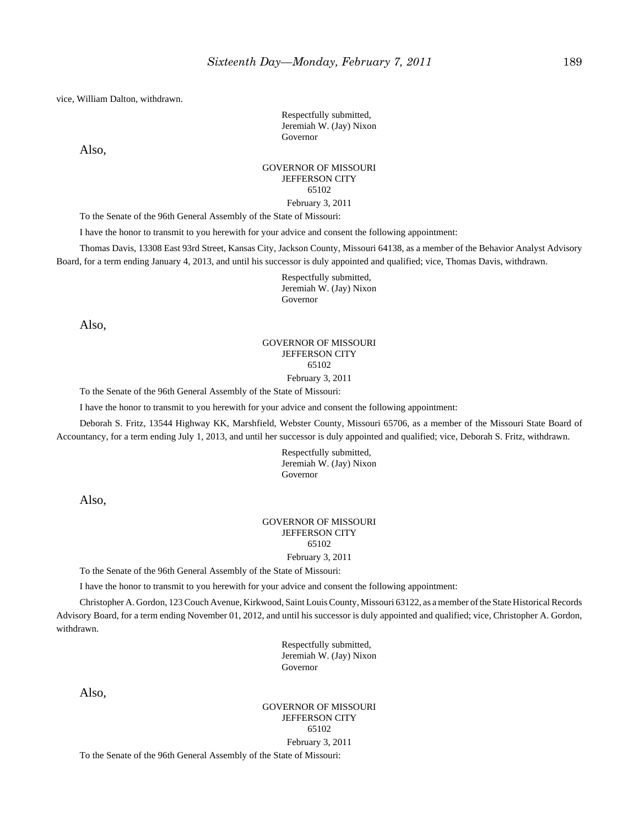vice, William Dalton, withdrawn.

Respectfully submitted, Jeremiah W. (Jay) Nixon Governor

Also,

#### GOVERNOR OF MISSOURI JEFFERSON CITY 65102 February 3, 2011

To the Senate of the 96th General Assembly of the State of Missouri:

I have the honor to transmit to you herewith for your advice and consent the following appointment:

Thomas Davis, 13308 East 93rd Street, Kansas City, Jackson County, Missouri 64138, as a member of the Behavior Analyst Advisory Board, for a term ending January 4, 2013, and until his successor is duly appointed and qualified; vice, Thomas Davis, withdrawn.

> Respectfully submitted, Jeremiah W. (Jay) Nixon Governor

Also,

## GOVERNOR OF MISSOURI JEFFERSON CITY 65102

February 3, 2011

To the Senate of the 96th General Assembly of the State of Missouri:

I have the honor to transmit to you herewith for your advice and consent the following appointment:

Deborah S. Fritz, 13544 Highway KK, Marshfield, Webster County, Missouri 65706, as a member of the Missouri State Board of Accountancy, for a term ending July 1, 2013, and until her successor is duly appointed and qualified; vice, Deborah S. Fritz, withdrawn.

> Respectfully submitted, Jeremiah W. (Jay) Nixon Governor

Also,

#### GOVERNOR OF MISSOURI JEFFERSON CITY 65102

February 3, 2011

To the Senate of the 96th General Assembly of the State of Missouri:

I have the honor to transmit to you herewith for your advice and consent the following appointment:

Christopher A. Gordon, 123 Couch Avenue, Kirkwood, Saint Louis County, Missouri 63122, as a member of the State Historical Records Advisory Board, for a term ending November 01, 2012, and until his successor is duly appointed and qualified; vice, Christopher A. Gordon, withdrawn.

> Respectfully submitted, Jeremiah W. (Jay) Nixon Governor

Also,

GOVERNOR OF MISSOURI JEFFERSON CITY 65102 February 3, 2011

To the Senate of the 96th General Assembly of the State of Missouri: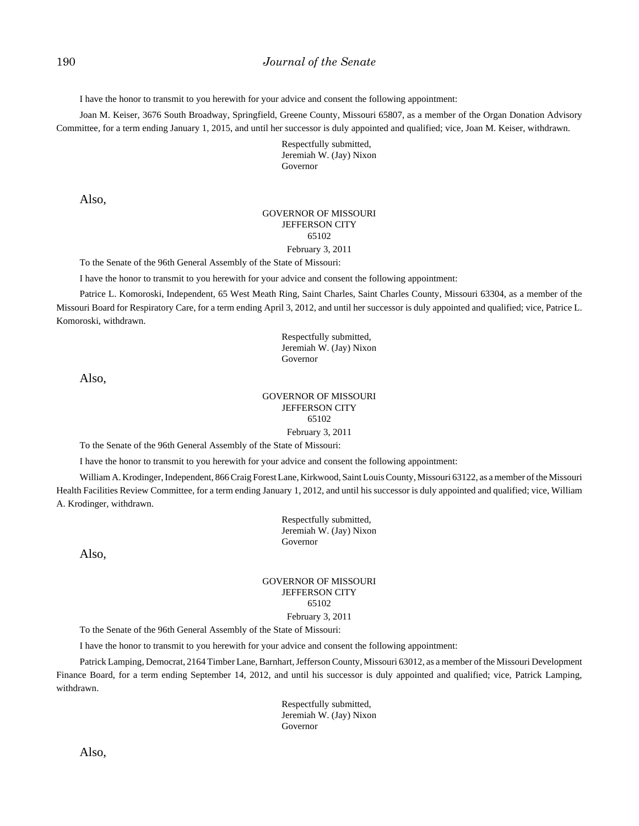I have the honor to transmit to you herewith for your advice and consent the following appointment:

Joan M. Keiser, 3676 South Broadway, Springfield, Greene County, Missouri 65807, as a member of the Organ Donation Advisory Committee, for a term ending January 1, 2015, and until her successor is duly appointed and qualified; vice, Joan M. Keiser, withdrawn.

> Respectfully submitted, Jeremiah W. (Jay) Nixon Governor

Also,

#### GOVERNOR OF MISSOURI JEFFERSON CITY 65102 February 3, 2011

To the Senate of the 96th General Assembly of the State of Missouri:

I have the honor to transmit to you herewith for your advice and consent the following appointment:

Patrice L. Komoroski, Independent, 65 West Meath Ring, Saint Charles, Saint Charles County, Missouri 63304, as a member of the Missouri Board for Respiratory Care, for a term ending April 3, 2012, and until her successor is duly appointed and qualified; vice, Patrice L. Komoroski, withdrawn.

> Respectfully submitted, Jeremiah W. (Jay) Nixon Governor

Also,

## GOVERNOR OF MISSOURI JEFFERSON CITY 65102

February 3, 2011

To the Senate of the 96th General Assembly of the State of Missouri:

I have the honor to transmit to you herewith for your advice and consent the following appointment:

William A. Krodinger, Independent, 866 Craig Forest Lane, Kirkwood, Saint Louis County, Missouri 63122, as a member of the Missouri Health Facilities Review Committee, for a term ending January 1, 2012, and until his successor is duly appointed and qualified; vice, William A. Krodinger, withdrawn.

> Respectfully submitted, Jeremiah W. (Jay) Nixon Governor

Also,

#### GOVERNOR OF MISSOURI JEFFERSON CITY 65102 February 3, 2011

To the Senate of the 96th General Assembly of the State of Missouri:

I have the honor to transmit to you herewith for your advice and consent the following appointment:

Patrick Lamping, Democrat, 2164 Timber Lane, Barnhart, Jefferson County, Missouri 63012, as a member of the Missouri Development Finance Board, for a term ending September 14, 2012, and until his successor is duly appointed and qualified; vice, Patrick Lamping, withdrawn.

> Respectfully submitted, Jeremiah W. (Jay) Nixon Governor

Also,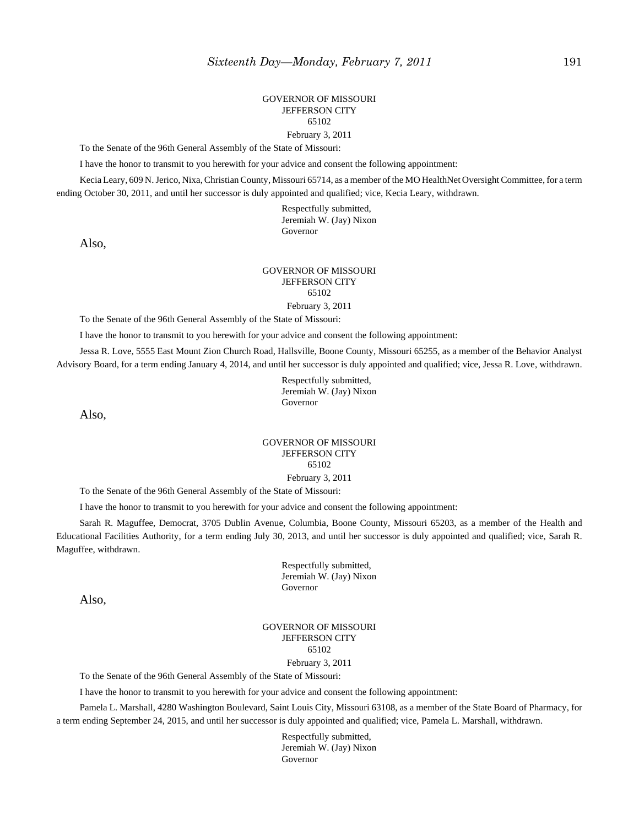#### GOVERNOR OF MISSOURI JEFFERSON CITY 65102 February 3, 2011

To the Senate of the 96th General Assembly of the State of Missouri:

I have the honor to transmit to you herewith for your advice and consent the following appointment:

Kecia Leary, 609 N. Jerico, Nixa, Christian County, Missouri 65714, as a member of the MO HealthNet Oversight Committee, for a term ending October 30, 2011, and until her successor is duly appointed and qualified; vice, Kecia Leary, withdrawn.

> Respectfully submitted, Jeremiah W. (Jay) Nixon Governor

Also,

#### GOVERNOR OF MISSOURI JEFFERSON CITY 65102

February 3, 2011

To the Senate of the 96th General Assembly of the State of Missouri:

I have the honor to transmit to you herewith for your advice and consent the following appointment:

Jessa R. Love, 5555 East Mount Zion Church Road, Hallsville, Boone County, Missouri 65255, as a member of the Behavior Analyst Advisory Board, for a term ending January 4, 2014, and until her successor is duly appointed and qualified; vice, Jessa R. Love, withdrawn.

> Respectfully submitted, Jeremiah W. (Jay) Nixon Governor

Also,

## GOVERNOR OF MISSOURI JEFFERSON CITY 65102

February 3, 2011

To the Senate of the 96th General Assembly of the State of Missouri:

I have the honor to transmit to you herewith for your advice and consent the following appointment:

Sarah R. Maguffee, Democrat, 3705 Dublin Avenue, Columbia, Boone County, Missouri 65203, as a member of the Health and Educational Facilities Authority, for a term ending July 30, 2013, and until her successor is duly appointed and qualified; vice, Sarah R. Maguffee, withdrawn.

> Respectfully submitted, Jeremiah W. (Jay) Nixon Governor

Also,

GOVERNOR OF MISSOURI JEFFERSON CITY 65102 February 3, 2011

To the Senate of the 96th General Assembly of the State of Missouri:

I have the honor to transmit to you herewith for your advice and consent the following appointment:

Pamela L. Marshall, 4280 Washington Boulevard, Saint Louis City, Missouri 63108, as a member of the State Board of Pharmacy, for a term ending September 24, 2015, and until her successor is duly appointed and qualified; vice, Pamela L. Marshall, withdrawn.

> Respectfully submitted, Jeremiah W. (Jay) Nixon Governor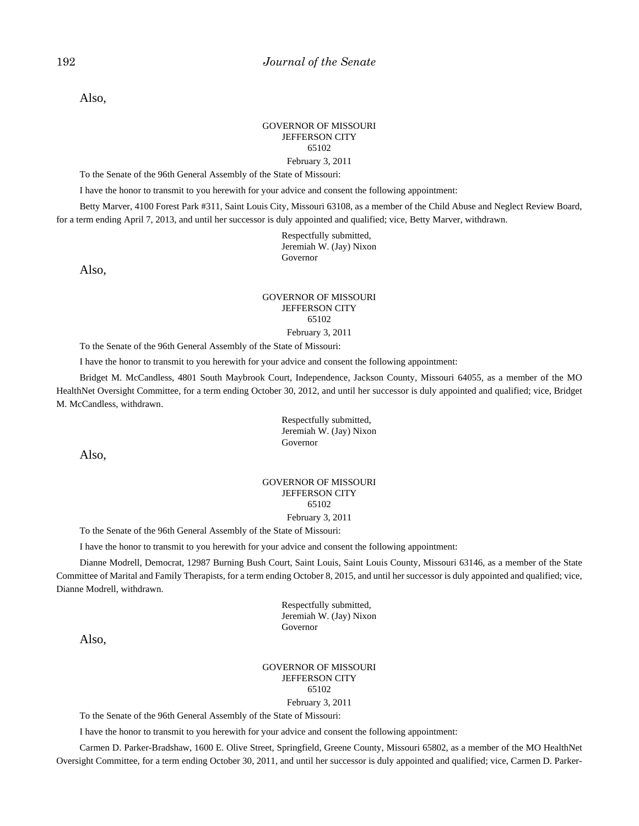Also,

#### GOVERNOR OF MISSOURI JEFFERSON CITY 65102 February 3, 2011

To the Senate of the 96th General Assembly of the State of Missouri:

I have the honor to transmit to you herewith for your advice and consent the following appointment:

Betty Marver, 4100 Forest Park #311, Saint Louis City, Missouri 63108, as a member of the Child Abuse and Neglect Review Board, for a term ending April 7, 2013, and until her successor is duly appointed and qualified; vice, Betty Marver, withdrawn.

> Respectfully submitted, Jeremiah W. (Jay) Nixon Governor

Also,

#### GOVERNOR OF MISSOURI JEFFERSON CITY 65102 February 3, 2011

To the Senate of the 96th General Assembly of the State of Missouri:

I have the honor to transmit to you herewith for your advice and consent the following appointment:

Bridget M. McCandless, 4801 South Maybrook Court, Independence, Jackson County, Missouri 64055, as a member of the MO HealthNet Oversight Committee, for a term ending October 30, 2012, and until her successor is duly appointed and qualified; vice, Bridget M. McCandless, withdrawn.

Also,

#### GOVERNOR OF MISSOURI JEFFERSON CITY 65102

## February 3, 2011

To the Senate of the 96th General Assembly of the State of Missouri:

I have the honor to transmit to you herewith for your advice and consent the following appointment:

Dianne Modrell, Democrat, 12987 Burning Bush Court, Saint Louis, Saint Louis County, Missouri 63146, as a member of the State Committee of Marital and Family Therapists, for a term ending October 8, 2015, and until her successor is duly appointed and qualified; vice, Dianne Modrell, withdrawn.

> Respectfully submitted, Jeremiah W. (Jay) Nixon Governor

Also,

GOVERNOR OF MISSOURI JEFFERSON CITY 65102

#### February 3, 2011

To the Senate of the 96th General Assembly of the State of Missouri:

I have the honor to transmit to you herewith for your advice and consent the following appointment:

Carmen D. Parker-Bradshaw, 1600 E. Olive Street, Springfield, Greene County, Missouri 65802, as a member of the MO HealthNet Oversight Committee, for a term ending October 30, 2011, and until her successor is duly appointed and qualified; vice, Carmen D. Parker-

Respectfully submitted, Jeremiah W. (Jay) Nixon Governor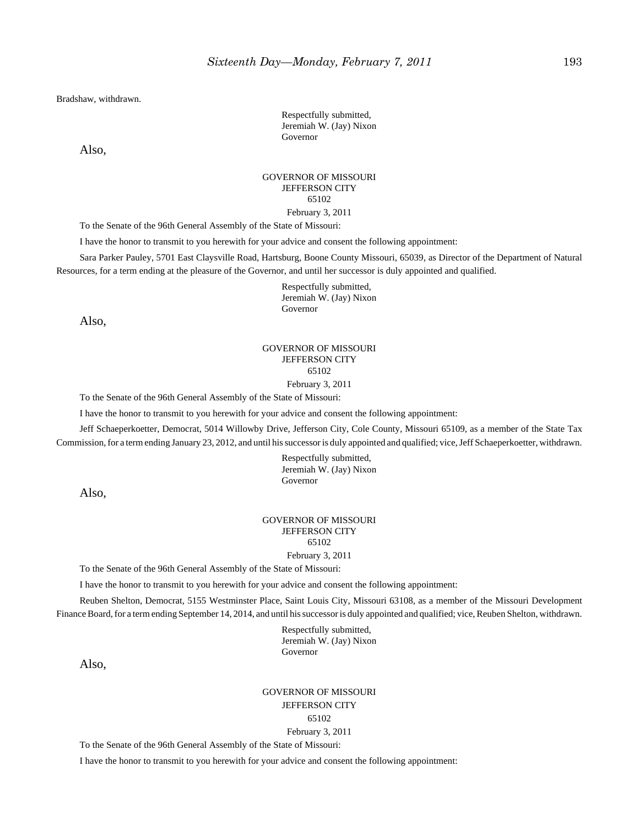Bradshaw, withdrawn.

Respectfully submitted, Jeremiah W. (Jay) Nixon Governor

Also,

#### GOVERNOR OF MISSOURI JEFFERSON CITY 65102 February 3, 2011

To the Senate of the 96th General Assembly of the State of Missouri:

I have the honor to transmit to you herewith for your advice and consent the following appointment:

Sara Parker Pauley, 5701 East Claysville Road, Hartsburg, Boone County Missouri, 65039, as Director of the Department of Natural Resources, for a term ending at the pleasure of the Governor, and until her successor is duly appointed and qualified.

> Respectfully submitted, Jeremiah W. (Jay) Nixon Governor

Also,

## GOVERNOR OF MISSOURI JEFFERSON CITY 65102

February 3, 2011

To the Senate of the 96th General Assembly of the State of Missouri:

I have the honor to transmit to you herewith for your advice and consent the following appointment:

Jeff Schaeperkoetter, Democrat, 5014 Willowby Drive, Jefferson City, Cole County, Missouri 65109, as a member of the State Tax Commission, for a term ending January 23, 2012, and until his successor is duly appointed and qualified; vice, Jeff Schaeperkoetter, withdrawn.

> Respectfully submitted, Jeremiah W. (Jay) Nixon Governor

Also,

#### GOVERNOR OF MISSOURI JEFFERSON CITY 65102

February 3, 2011

To the Senate of the 96th General Assembly of the State of Missouri:

I have the honor to transmit to you herewith for your advice and consent the following appointment:

Reuben Shelton, Democrat, 5155 Westminster Place, Saint Louis City, Missouri 63108, as a member of the Missouri Development Finance Board, for a term ending September 14, 2014, and until his successor is duly appointed and qualified; vice, Reuben Shelton, withdrawn.

> Respectfully submitted, Jeremiah W. (Jay) Nixon Governor

Also,

GOVERNOR OF MISSOURI JEFFERSON CITY 65102 February 3, 2011

To the Senate of the 96th General Assembly of the State of Missouri:

I have the honor to transmit to you herewith for your advice and consent the following appointment: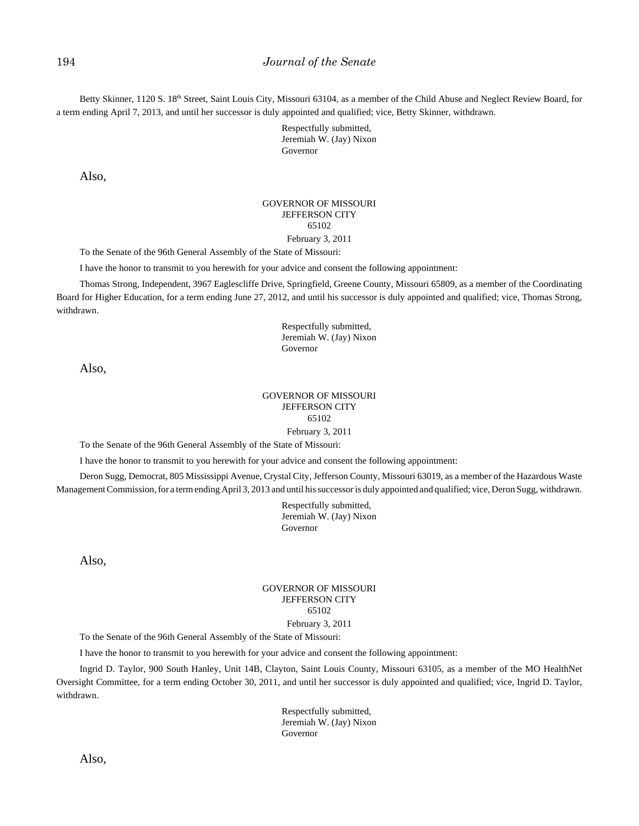Betty Skinner, 1120 S. 18<sup>th</sup> Street, Saint Louis City, Missouri 63104, as a member of the Child Abuse and Neglect Review Board, for a term ending April 7, 2013, and until her successor is duly appointed and qualified; vice, Betty Skinner, withdrawn.

> Respectfully submitted, Jeremiah W. (Jay) Nixon Governor

Also,

#### GOVERNOR OF MISSOURI JEFFERSON CITY 65102 February 3, 2011

To the Senate of the 96th General Assembly of the State of Missouri:

I have the honor to transmit to you herewith for your advice and consent the following appointment:

Thomas Strong, Independent, 3967 Eaglescliffe Drive, Springfield, Greene County, Missouri 65809, as a member of the Coordinating Board for Higher Education, for a term ending June 27, 2012, and until his successor is duly appointed and qualified; vice, Thomas Strong, withdrawn.

> Respectfully submitted, Jeremiah W. (Jay) Nixon Governor

Also,

## GOVERNOR OF MISSOURI JEFFERSON CITY 65102

February 3, 2011

To the Senate of the 96th General Assembly of the State of Missouri:

I have the honor to transmit to you herewith for your advice and consent the following appointment:

Deron Sugg, Democrat, 805 Mississippi Avenue, Crystal City, Jefferson County, Missouri 63019, as a member of the Hazardous Waste Management Commission, for a term ending April 3, 2013 and until his successor is duly appointed and qualified; vice, Deron Sugg, withdrawn.

> Respectfully submitted, Jeremiah W. (Jay) Nixon Governor

Also,

#### GOVERNOR OF MISSOURI JEFFERSON CITY 65102 February 3, 2011

To the Senate of the 96th General Assembly of the State of Missouri:

I have the honor to transmit to you herewith for your advice and consent the following appointment:

Ingrid D. Taylor, 900 South Hanley, Unit 14B, Clayton, Saint Louis County, Missouri 63105, as a member of the MO HealthNet Oversight Committee, for a term ending October 30, 2011, and until her successor is duly appointed and qualified; vice, Ingrid D. Taylor, withdrawn.

> Respectfully submitted, Jeremiah W. (Jay) Nixon Governor

Also,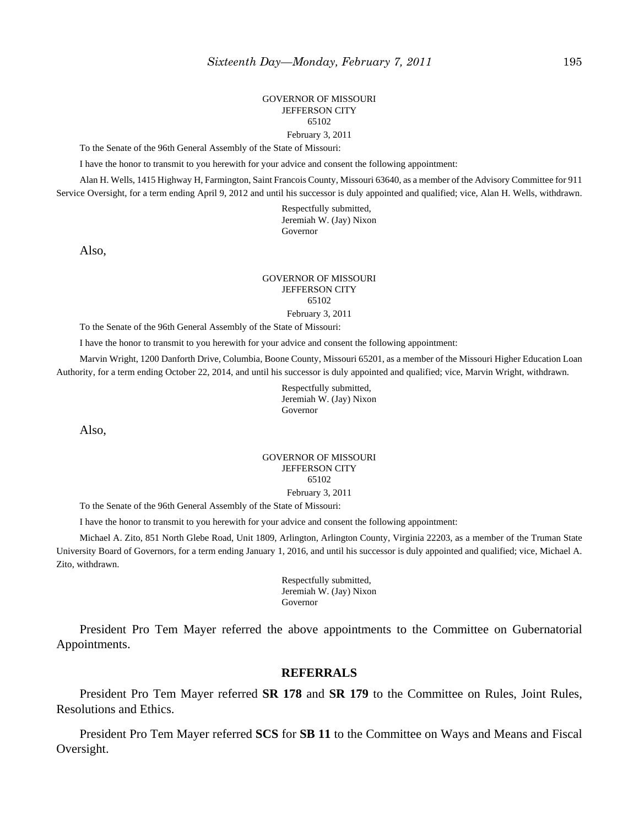#### GOVERNOR OF MISSOURI JEFFERSON CITY 65102 February 3, 2011

To the Senate of the 96th General Assembly of the State of Missouri:

I have the honor to transmit to you herewith for your advice and consent the following appointment:

Alan H. Wells, 1415 Highway H, Farmington, Saint Francois County, Missouri 63640, as a member of the Advisory Committee for 911 Service Oversight, for a term ending April 9, 2012 and until his successor is duly appointed and qualified; vice, Alan H. Wells, withdrawn.

> Respectfully submitted, Jeremiah W. (Jay) Nixon Governor

Also,

#### GOVERNOR OF MISSOURI JEFFERSON CITY 65102

February 3, 2011

To the Senate of the 96th General Assembly of the State of Missouri:

I have the honor to transmit to you herewith for your advice and consent the following appointment:

Marvin Wright, 1200 Danforth Drive, Columbia, Boone County, Missouri 65201, as a member of the Missouri Higher Education Loan Authority, for a term ending October 22, 2014, and until his successor is duly appointed and qualified; vice, Marvin Wright, withdrawn.

> Respectfully submitted, Jeremiah W. (Jay) Nixon Governor

Also,

#### GOVERNOR OF MISSOURI JEFFERSON CITY 65102 February 3, 2011

To the Senate of the 96th General Assembly of the State of Missouri:

I have the honor to transmit to you herewith for your advice and consent the following appointment:

Michael A. Zito, 851 North Glebe Road, Unit 1809, Arlington, Arlington County, Virginia 22203, as a member of the Truman State University Board of Governors, for a term ending January 1, 2016, and until his successor is duly appointed and qualified; vice, Michael A. Zito, withdrawn.

> Respectfully submitted, Jeremiah W. (Jay) Nixon Governor

President Pro Tem Mayer referred the above appointments to the Committee on Gubernatorial Appointments.

#### **REFERRALS**

President Pro Tem Mayer referred **SR 178** and **SR 179** to the Committee on Rules, Joint Rules, Resolutions and Ethics.

President Pro Tem Mayer referred **SCS** for **SB 11** to the Committee on Ways and Means and Fiscal Oversight.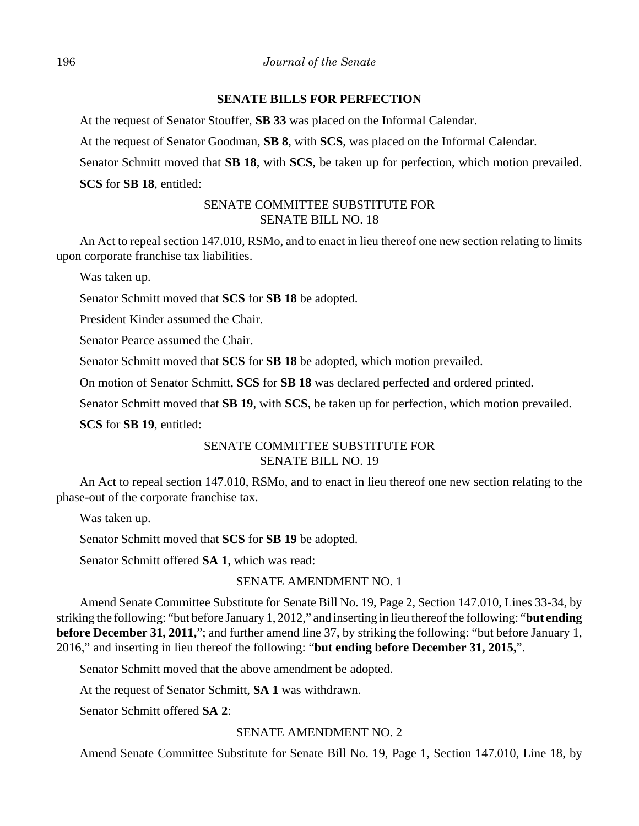## **SENATE BILLS FOR PERFECTION**

At the request of Senator Stouffer, **SB 33** was placed on the Informal Calendar.

At the request of Senator Goodman, **SB 8**, with **SCS**, was placed on the Informal Calendar.

Senator Schmitt moved that **SB 18**, with **SCS**, be taken up for perfection, which motion prevailed. **SCS** for **SB 18**, entitled:

## SENATE COMMITTEE SUBSTITUTE FOR SENATE BILL NO. 18

An Act to repeal section 147.010, RSMo, and to enact in lieu thereof one new section relating to limits upon corporate franchise tax liabilities.

Was taken up.

Senator Schmitt moved that **SCS** for **SB 18** be adopted.

President Kinder assumed the Chair.

Senator Pearce assumed the Chair.

Senator Schmitt moved that **SCS** for **SB 18** be adopted, which motion prevailed.

On motion of Senator Schmitt, **SCS** for **SB 18** was declared perfected and ordered printed.

Senator Schmitt moved that **SB 19**, with **SCS**, be taken up for perfection, which motion prevailed.

**SCS** for **SB 19**, entitled:

## SENATE COMMITTEE SUBSTITUTE FOR SENATE BILL NO. 19

An Act to repeal section 147.010, RSMo, and to enact in lieu thereof one new section relating to the phase-out of the corporate franchise tax.

Was taken up.

Senator Schmitt moved that **SCS** for **SB 19** be adopted.

Senator Schmitt offered **SA 1**, which was read:

## SENATE AMENDMENT NO. 1

Amend Senate Committee Substitute for Senate Bill No. 19, Page 2, Section 147.010, Lines 33-34, by striking the following: "but before January 1, 2012," and inserting in lieu thereof the following: "**but ending before December 31, 2011,**"; and further amend line 37, by striking the following: "but before January 1, 2016," and inserting in lieu thereof the following: "**but ending before December 31, 2015,**".

Senator Schmitt moved that the above amendment be adopted.

At the request of Senator Schmitt, **SA 1** was withdrawn.

Senator Schmitt offered **SA 2**:

## SENATE AMENDMENT NO. 2

Amend Senate Committee Substitute for Senate Bill No. 19, Page 1, Section 147.010, Line 18, by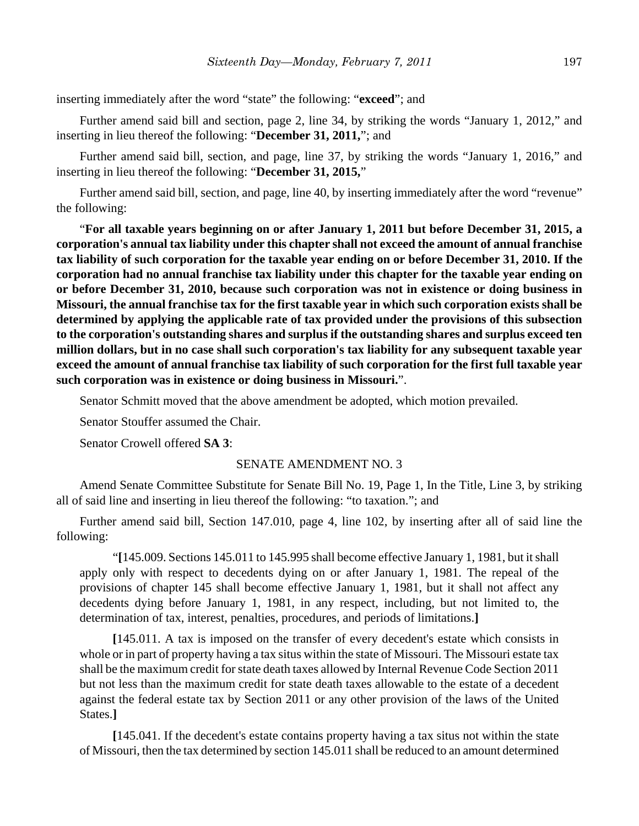inserting immediately after the word "state" the following: "**exceed**"; and

Further amend said bill and section, page 2, line 34, by striking the words "January 1, 2012," and inserting in lieu thereof the following: "**December 31, 2011,**"; and

Further amend said bill, section, and page, line 37, by striking the words "January 1, 2016," and inserting in lieu thereof the following: "**December 31, 2015,**"

Further amend said bill, section, and page, line 40, by inserting immediately after the word "revenue" the following:

"**For all taxable years beginning on or after January 1, 2011 but before December 31, 2015, a corporation's annual tax liability under this chapter shall not exceed the amount of annual franchise tax liability of such corporation for the taxable year ending on or before December 31, 2010. If the corporation had no annual franchise tax liability under this chapter for the taxable year ending on or before December 31, 2010, because such corporation was not in existence or doing business in Missouri, the annual franchise tax for the first taxable year in which such corporation exists shall be determined by applying the applicable rate of tax provided under the provisions of this subsection to the corporation's outstanding shares and surplus if the outstanding shares and surplus exceed ten million dollars, but in no case shall such corporation's tax liability for any subsequent taxable year exceed the amount of annual franchise tax liability of such corporation for the first full taxable year such corporation was in existence or doing business in Missouri.**".

Senator Schmitt moved that the above amendment be adopted, which motion prevailed.

Senator Stouffer assumed the Chair.

Senator Crowell offered **SA 3**:

## SENATE AMENDMENT NO. 3

Amend Senate Committee Substitute for Senate Bill No. 19, Page 1, In the Title, Line 3, by striking all of said line and inserting in lieu thereof the following: "to taxation."; and

Further amend said bill, Section 147.010, page 4, line 102, by inserting after all of said line the following:

"**[**145.009. Sections 145.011 to 145.995 shall become effective January 1, 1981, but it shall apply only with respect to decedents dying on or after January 1, 1981. The repeal of the provisions of chapter 145 shall become effective January 1, 1981, but it shall not affect any decedents dying before January 1, 1981, in any respect, including, but not limited to, the determination of tax, interest, penalties, procedures, and periods of limitations.**]**

**[**145.011. A tax is imposed on the transfer of every decedent's estate which consists in whole or in part of property having a tax situs within the state of Missouri. The Missouri estate tax shall be the maximum credit for state death taxes allowed by Internal Revenue Code Section 2011 but not less than the maximum credit for state death taxes allowable to the estate of a decedent against the federal estate tax by Section 2011 or any other provision of the laws of the United States.**]**

**[**145.041. If the decedent's estate contains property having a tax situs not within the state of Missouri, then the tax determined by section 145.011 shall be reduced to an amount determined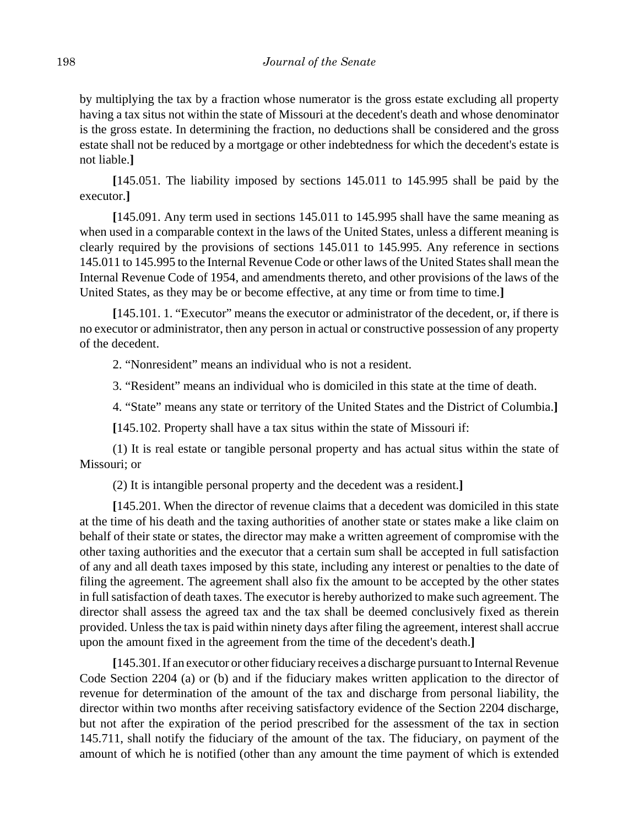by multiplying the tax by a fraction whose numerator is the gross estate excluding all property having a tax situs not within the state of Missouri at the decedent's death and whose denominator is the gross estate. In determining the fraction, no deductions shall be considered and the gross estate shall not be reduced by a mortgage or other indebtedness for which the decedent's estate is not liable.**]**

**[**145.051. The liability imposed by sections 145.011 to 145.995 shall be paid by the executor.**]**

**[**145.091. Any term used in sections 145.011 to 145.995 shall have the same meaning as when used in a comparable context in the laws of the United States, unless a different meaning is clearly required by the provisions of sections 145.011 to 145.995. Any reference in sections 145.011 to 145.995 to the Internal Revenue Code or other laws of the United States shall mean the Internal Revenue Code of 1954, and amendments thereto, and other provisions of the laws of the United States, as they may be or become effective, at any time or from time to time.**]**

**[**145.101. 1. "Executor" means the executor or administrator of the decedent, or, if there is no executor or administrator, then any person in actual or constructive possession of any property of the decedent.

2. "Nonresident" means an individual who is not a resident.

3. "Resident" means an individual who is domiciled in this state at the time of death.

4. "State" means any state or territory of the United States and the District of Columbia.**]**

**[**145.102. Property shall have a tax situs within the state of Missouri if:

(1) It is real estate or tangible personal property and has actual situs within the state of Missouri; or

(2) It is intangible personal property and the decedent was a resident.**]**

**[**145.201. When the director of revenue claims that a decedent was domiciled in this state at the time of his death and the taxing authorities of another state or states make a like claim on behalf of their state or states, the director may make a written agreement of compromise with the other taxing authorities and the executor that a certain sum shall be accepted in full satisfaction of any and all death taxes imposed by this state, including any interest or penalties to the date of filing the agreement. The agreement shall also fix the amount to be accepted by the other states in full satisfaction of death taxes. The executor is hereby authorized to make such agreement. The director shall assess the agreed tax and the tax shall be deemed conclusively fixed as therein provided. Unless the tax is paid within ninety days after filing the agreement, interest shall accrue upon the amount fixed in the agreement from the time of the decedent's death.**]**

**[**145.301. If an executor or other fiduciary receives a discharge pursuant to Internal Revenue Code Section 2204 (a) or (b) and if the fiduciary makes written application to the director of revenue for determination of the amount of the tax and discharge from personal liability, the director within two months after receiving satisfactory evidence of the Section 2204 discharge, but not after the expiration of the period prescribed for the assessment of the tax in section 145.711, shall notify the fiduciary of the amount of the tax. The fiduciary, on payment of the amount of which he is notified (other than any amount the time payment of which is extended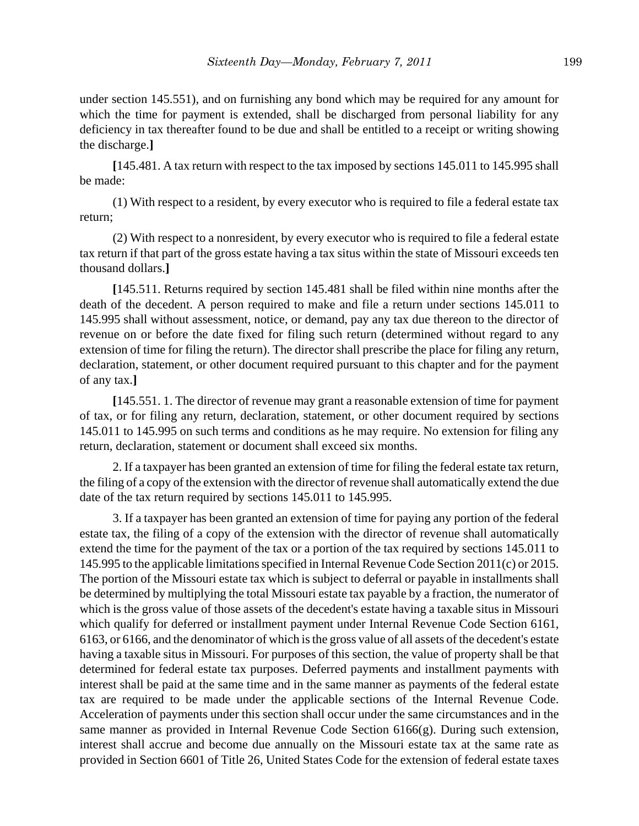under section 145.551), and on furnishing any bond which may be required for any amount for which the time for payment is extended, shall be discharged from personal liability for any deficiency in tax thereafter found to be due and shall be entitled to a receipt or writing showing the discharge.**]**

**[**145.481. A tax return with respect to the tax imposed by sections 145.011 to 145.995 shall be made:

(1) With respect to a resident, by every executor who is required to file a federal estate tax return;

(2) With respect to a nonresident, by every executor who is required to file a federal estate tax return if that part of the gross estate having a tax situs within the state of Missouri exceeds ten thousand dollars.**]**

**[**145.511. Returns required by section 145.481 shall be filed within nine months after the death of the decedent. A person required to make and file a return under sections 145.011 to 145.995 shall without assessment, notice, or demand, pay any tax due thereon to the director of revenue on or before the date fixed for filing such return (determined without regard to any extension of time for filing the return). The director shall prescribe the place for filing any return, declaration, statement, or other document required pursuant to this chapter and for the payment of any tax.**]**

**[**145.551. 1. The director of revenue may grant a reasonable extension of time for payment of tax, or for filing any return, declaration, statement, or other document required by sections 145.011 to 145.995 on such terms and conditions as he may require. No extension for filing any return, declaration, statement or document shall exceed six months.

2. If a taxpayer has been granted an extension of time for filing the federal estate tax return, the filing of a copy of the extension with the director of revenue shall automatically extend the due date of the tax return required by sections 145.011 to 145.995.

3. If a taxpayer has been granted an extension of time for paying any portion of the federal estate tax, the filing of a copy of the extension with the director of revenue shall automatically extend the time for the payment of the tax or a portion of the tax required by sections 145.011 to 145.995 to the applicable limitations specified in Internal Revenue Code Section 2011(c) or 2015. The portion of the Missouri estate tax which is subject to deferral or payable in installments shall be determined by multiplying the total Missouri estate tax payable by a fraction, the numerator of which is the gross value of those assets of the decedent's estate having a taxable situs in Missouri which qualify for deferred or installment payment under Internal Revenue Code Section 6161, 6163, or 6166, and the denominator of which is the gross value of all assets of the decedent's estate having a taxable situs in Missouri. For purposes of this section, the value of property shall be that determined for federal estate tax purposes. Deferred payments and installment payments with interest shall be paid at the same time and in the same manner as payments of the federal estate tax are required to be made under the applicable sections of the Internal Revenue Code. Acceleration of payments under this section shall occur under the same circumstances and in the same manner as provided in Internal Revenue Code Section 6166(g). During such extension, interest shall accrue and become due annually on the Missouri estate tax at the same rate as provided in Section 6601 of Title 26, United States Code for the extension of federal estate taxes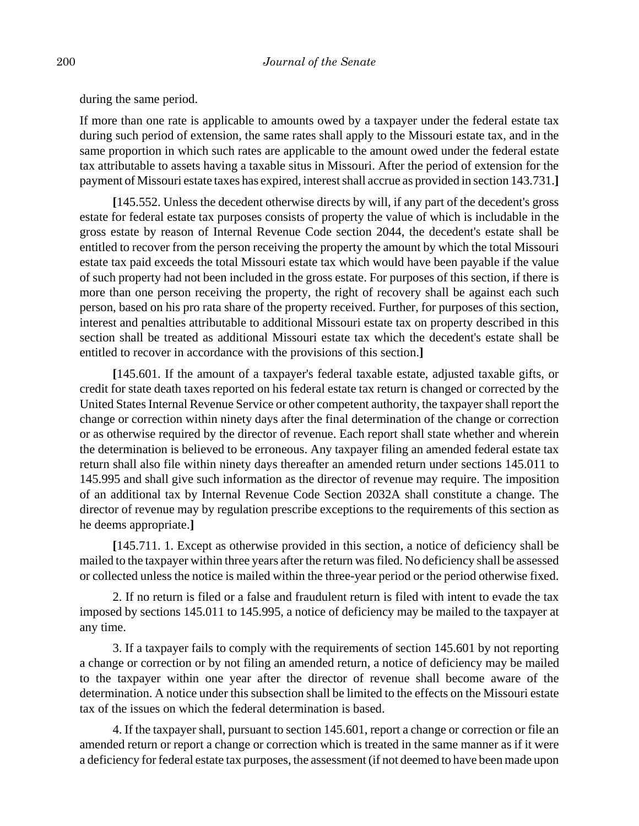during the same period.

If more than one rate is applicable to amounts owed by a taxpayer under the federal estate tax during such period of extension, the same rates shall apply to the Missouri estate tax, and in the same proportion in which such rates are applicable to the amount owed under the federal estate tax attributable to assets having a taxable situs in Missouri. After the period of extension for the payment of Missouri estate taxes has expired, interest shall accrue as provided in section 143.731.**]**

**[**145.552. Unless the decedent otherwise directs by will, if any part of the decedent's gross estate for federal estate tax purposes consists of property the value of which is includable in the gross estate by reason of Internal Revenue Code section 2044, the decedent's estate shall be entitled to recover from the person receiving the property the amount by which the total Missouri estate tax paid exceeds the total Missouri estate tax which would have been payable if the value of such property had not been included in the gross estate. For purposes of this section, if there is more than one person receiving the property, the right of recovery shall be against each such person, based on his pro rata share of the property received. Further, for purposes of this section, interest and penalties attributable to additional Missouri estate tax on property described in this section shall be treated as additional Missouri estate tax which the decedent's estate shall be entitled to recover in accordance with the provisions of this section.**]**

**[**145.601. If the amount of a taxpayer's federal taxable estate, adjusted taxable gifts, or credit for state death taxes reported on his federal estate tax return is changed or corrected by the United States Internal Revenue Service or other competent authority, the taxpayer shall report the change or correction within ninety days after the final determination of the change or correction or as otherwise required by the director of revenue. Each report shall state whether and wherein the determination is believed to be erroneous. Any taxpayer filing an amended federal estate tax return shall also file within ninety days thereafter an amended return under sections 145.011 to 145.995 and shall give such information as the director of revenue may require. The imposition of an additional tax by Internal Revenue Code Section 2032A shall constitute a change. The director of revenue may by regulation prescribe exceptions to the requirements of this section as he deems appropriate.**]**

**[**145.711. 1. Except as otherwise provided in this section, a notice of deficiency shall be mailed to the taxpayer within three years after the return was filed. No deficiency shall be assessed or collected unless the notice is mailed within the three-year period or the period otherwise fixed.

2. If no return is filed or a false and fraudulent return is filed with intent to evade the tax imposed by sections 145.011 to 145.995, a notice of deficiency may be mailed to the taxpayer at any time.

3. If a taxpayer fails to comply with the requirements of section 145.601 by not reporting a change or correction or by not filing an amended return, a notice of deficiency may be mailed to the taxpayer within one year after the director of revenue shall become aware of the determination. A notice under this subsection shall be limited to the effects on the Missouri estate tax of the issues on which the federal determination is based.

4. If the taxpayer shall, pursuant to section 145.601, report a change or correction or file an amended return or report a change or correction which is treated in the same manner as if it were a deficiency for federal estate tax purposes, the assessment (if not deemed to have been made upon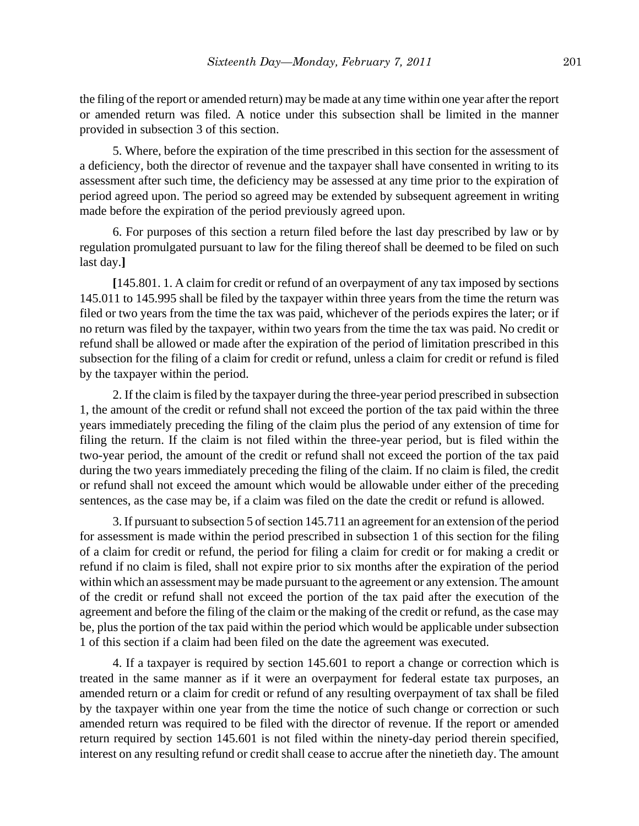the filing of the report or amended return) may be made at any time within one year after the report or amended return was filed. A notice under this subsection shall be limited in the manner provided in subsection 3 of this section.

5. Where, before the expiration of the time prescribed in this section for the assessment of a deficiency, both the director of revenue and the taxpayer shall have consented in writing to its assessment after such time, the deficiency may be assessed at any time prior to the expiration of period agreed upon. The period so agreed may be extended by subsequent agreement in writing made before the expiration of the period previously agreed upon.

6. For purposes of this section a return filed before the last day prescribed by law or by regulation promulgated pursuant to law for the filing thereof shall be deemed to be filed on such last day.**]**

**[**145.801. 1. A claim for credit or refund of an overpayment of any tax imposed by sections 145.011 to 145.995 shall be filed by the taxpayer within three years from the time the return was filed or two years from the time the tax was paid, whichever of the periods expires the later; or if no return was filed by the taxpayer, within two years from the time the tax was paid. No credit or refund shall be allowed or made after the expiration of the period of limitation prescribed in this subsection for the filing of a claim for credit or refund, unless a claim for credit or refund is filed by the taxpayer within the period.

2. If the claim is filed by the taxpayer during the three-year period prescribed in subsection 1, the amount of the credit or refund shall not exceed the portion of the tax paid within the three years immediately preceding the filing of the claim plus the period of any extension of time for filing the return. If the claim is not filed within the three-year period, but is filed within the two-year period, the amount of the credit or refund shall not exceed the portion of the tax paid during the two years immediately preceding the filing of the claim. If no claim is filed, the credit or refund shall not exceed the amount which would be allowable under either of the preceding sentences, as the case may be, if a claim was filed on the date the credit or refund is allowed.

3. If pursuant to subsection 5 of section 145.711 an agreement for an extension of the period for assessment is made within the period prescribed in subsection 1 of this section for the filing of a claim for credit or refund, the period for filing a claim for credit or for making a credit or refund if no claim is filed, shall not expire prior to six months after the expiration of the period within which an assessment may be made pursuant to the agreement or any extension. The amount of the credit or refund shall not exceed the portion of the tax paid after the execution of the agreement and before the filing of the claim or the making of the credit or refund, as the case may be, plus the portion of the tax paid within the period which would be applicable under subsection 1 of this section if a claim had been filed on the date the agreement was executed.

4. If a taxpayer is required by section 145.601 to report a change or correction which is treated in the same manner as if it were an overpayment for federal estate tax purposes, an amended return or a claim for credit or refund of any resulting overpayment of tax shall be filed by the taxpayer within one year from the time the notice of such change or correction or such amended return was required to be filed with the director of revenue. If the report or amended return required by section 145.601 is not filed within the ninety-day period therein specified, interest on any resulting refund or credit shall cease to accrue after the ninetieth day. The amount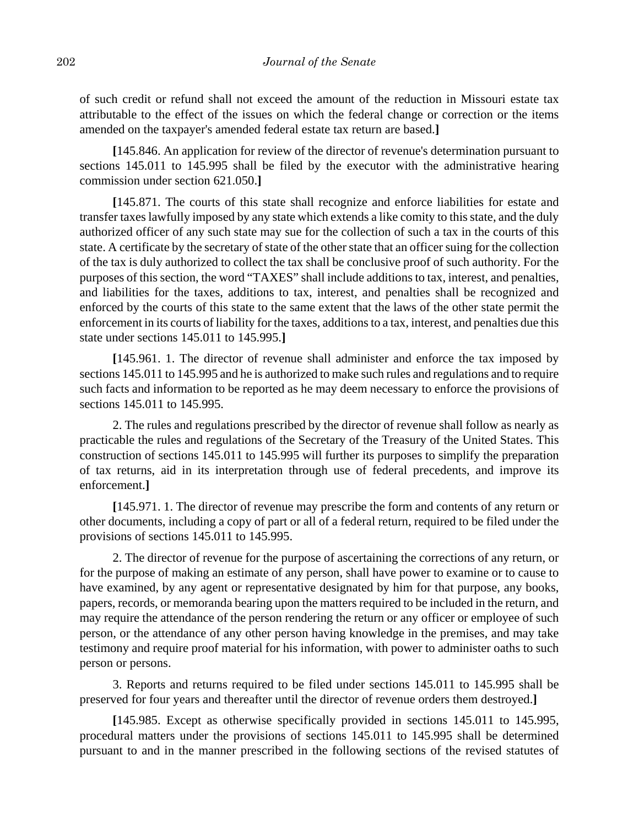of such credit or refund shall not exceed the amount of the reduction in Missouri estate tax attributable to the effect of the issues on which the federal change or correction or the items amended on the taxpayer's amended federal estate tax return are based.**]**

**[**145.846. An application for review of the director of revenue's determination pursuant to sections 145.011 to 145.995 shall be filed by the executor with the administrative hearing commission under section 621.050.**]**

**[**145.871. The courts of this state shall recognize and enforce liabilities for estate and transfer taxes lawfully imposed by any state which extends a like comity to this state, and the duly authorized officer of any such state may sue for the collection of such a tax in the courts of this state. A certificate by the secretary of state of the other state that an officer suing for the collection of the tax is duly authorized to collect the tax shall be conclusive proof of such authority. For the purposes of this section, the word "TAXES" shall include additions to tax, interest, and penalties, and liabilities for the taxes, additions to tax, interest, and penalties shall be recognized and enforced by the courts of this state to the same extent that the laws of the other state permit the enforcement in its courts of liability for the taxes, additions to a tax, interest, and penalties due this state under sections 145.011 to 145.995.**]**

**[**145.961. 1. The director of revenue shall administer and enforce the tax imposed by sections 145.011 to 145.995 and he is authorized to make such rules and regulations and to require such facts and information to be reported as he may deem necessary to enforce the provisions of sections 145.011 to 145.995.

2. The rules and regulations prescribed by the director of revenue shall follow as nearly as practicable the rules and regulations of the Secretary of the Treasury of the United States. This construction of sections 145.011 to 145.995 will further its purposes to simplify the preparation of tax returns, aid in its interpretation through use of federal precedents, and improve its enforcement.**]**

**[**145.971. 1. The director of revenue may prescribe the form and contents of any return or other documents, including a copy of part or all of a federal return, required to be filed under the provisions of sections 145.011 to 145.995.

2. The director of revenue for the purpose of ascertaining the corrections of any return, or for the purpose of making an estimate of any person, shall have power to examine or to cause to have examined, by any agent or representative designated by him for that purpose, any books, papers, records, or memoranda bearing upon the matters required to be included in the return, and may require the attendance of the person rendering the return or any officer or employee of such person, or the attendance of any other person having knowledge in the premises, and may take testimony and require proof material for his information, with power to administer oaths to such person or persons.

3. Reports and returns required to be filed under sections 145.011 to 145.995 shall be preserved for four years and thereafter until the director of revenue orders them destroyed.**]**

**[**145.985. Except as otherwise specifically provided in sections 145.011 to 145.995, procedural matters under the provisions of sections 145.011 to 145.995 shall be determined pursuant to and in the manner prescribed in the following sections of the revised statutes of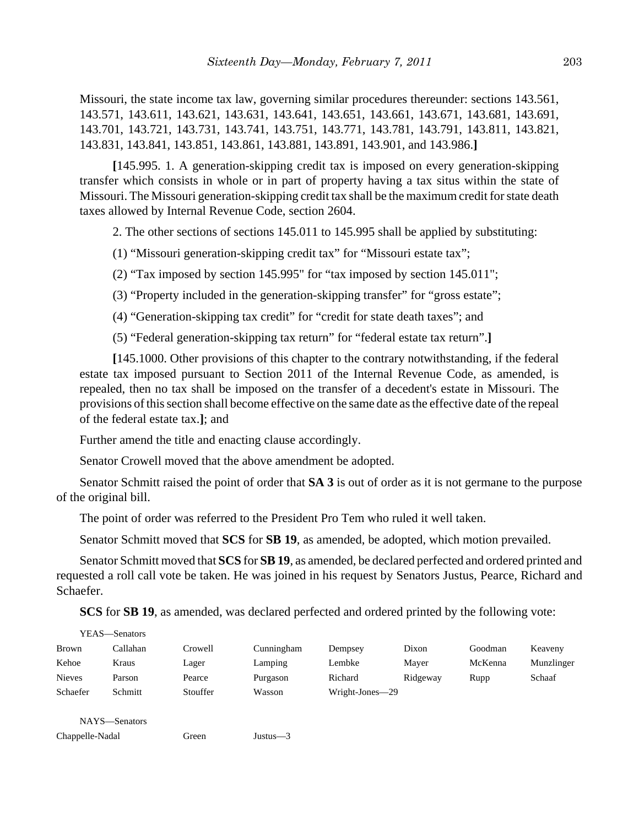Missouri, the state income tax law, governing similar procedures thereunder: sections 143.561, 143.571, 143.611, 143.621, 143.631, 143.641, 143.651, 143.661, 143.671, 143.681, 143.691, 143.701, 143.721, 143.731, 143.741, 143.751, 143.771, 143.781, 143.791, 143.811, 143.821, 143.831, 143.841, 143.851, 143.861, 143.881, 143.891, 143.901, and 143.986.**]**

**[**145.995. 1. A generation-skipping credit tax is imposed on every generation-skipping transfer which consists in whole or in part of property having a tax situs within the state of Missouri. The Missouri generation-skipping credit tax shall be the maximum credit for state death taxes allowed by Internal Revenue Code, section 2604.

2. The other sections of sections 145.011 to 145.995 shall be applied by substituting:

(1) "Missouri generation-skipping credit tax" for "Missouri estate tax";

(2) "Tax imposed by section 145.995" for "tax imposed by section 145.011";

(3) "Property included in the generation-skipping transfer" for "gross estate";

(4) "Generation-skipping tax credit" for "credit for state death taxes"; and

(5) "Federal generation-skipping tax return" for "federal estate tax return".**]**

**[**145.1000. Other provisions of this chapter to the contrary notwithstanding, if the federal estate tax imposed pursuant to Section 2011 of the Internal Revenue Code, as amended, is repealed, then no tax shall be imposed on the transfer of a decedent's estate in Missouri. The provisions of this section shall become effective on the same date as the effective date of the repeal of the federal estate tax.**]**; and

Further amend the title and enacting clause accordingly.

Senator Crowell moved that the above amendment be adopted.

Senator Schmitt raised the point of order that **SA 3** is out of order as it is not germane to the purpose of the original bill.

The point of order was referred to the President Pro Tem who ruled it well taken.

Senator Schmitt moved that **SCS** for **SB 19**, as amended, be adopted, which motion prevailed.

Senator Schmitt moved that **SCS** for **SB 19**, as amended, be declared perfected and ordered printed and requested a roll call vote be taken. He was joined in his request by Senators Justus, Pearce, Richard and Schaefer.

**SCS** for **SB 19**, as amended, was declared perfected and ordered printed by the following vote:

| YEAS—Senators   |          |          |            |                 |          |         |            |
|-----------------|----------|----------|------------|-----------------|----------|---------|------------|
| Brown           | Callahan | Crowell  | Cunningham | Dempsey         | Dixon    | Goodman | Keaveny    |
| Kehoe           | Kraus    | Lager    | Lamping    | Lembke          | Mayer    | McKenna | Munzlinger |
| <b>Nieves</b>   | Parson   | Pearce   | Purgason   | Richard         | Ridgeway | Rupp    | Schaaf     |
| Schaefer        | Schmitt  | Stouffer | Wasson     | Wright-Jones-29 |          |         |            |
|                 |          |          |            |                 |          |         |            |
| NAYS-Senators   |          |          |            |                 |          |         |            |
| Chappelle-Nadal |          | Green    | Justus—3   |                 |          |         |            |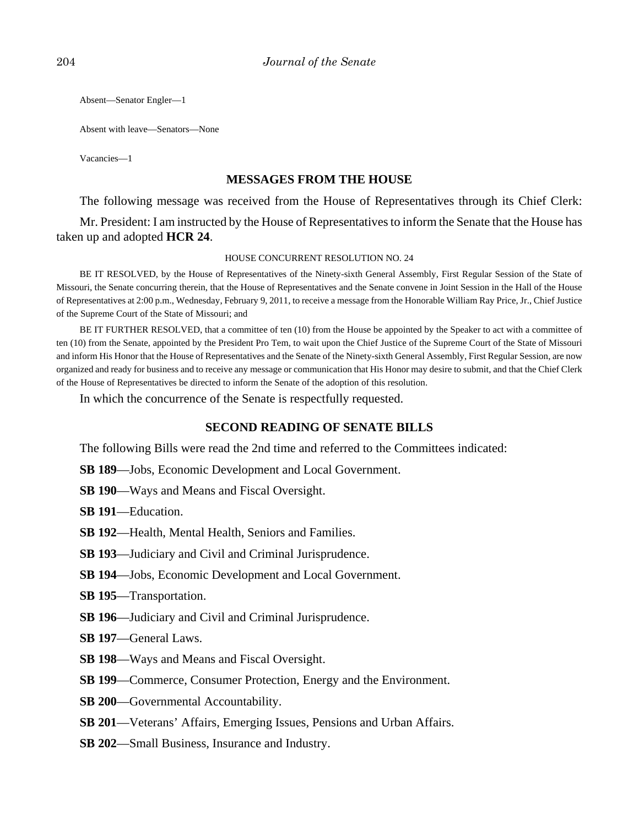Absent—Senator Engler—1

Absent with leave—Senators—None

Vacancies—1

## **MESSAGES FROM THE HOUSE**

The following message was received from the House of Representatives through its Chief Clerk:

Mr. President: I am instructed by the House of Representatives to inform the Senate that the House has taken up and adopted **HCR 24**.

#### HOUSE CONCURRENT RESOLUTION NO. 24

BE IT RESOLVED, by the House of Representatives of the Ninety-sixth General Assembly, First Regular Session of the State of Missouri, the Senate concurring therein, that the House of Representatives and the Senate convene in Joint Session in the Hall of the House of Representatives at 2:00 p.m., Wednesday, February 9, 2011, to receive a message from the Honorable William Ray Price, Jr., Chief Justice of the Supreme Court of the State of Missouri; and

BE IT FURTHER RESOLVED, that a committee of ten (10) from the House be appointed by the Speaker to act with a committee of ten (10) from the Senate, appointed by the President Pro Tem, to wait upon the Chief Justice of the Supreme Court of the State of Missouri and inform His Honor that the House of Representatives and the Senate of the Ninety-sixth General Assembly, First Regular Session, are now organized and ready for business and to receive any message or communication that His Honor may desire to submit, and that the Chief Clerk of the House of Representatives be directed to inform the Senate of the adoption of this resolution.

In which the concurrence of the Senate is respectfully requested.

## **SECOND READING OF SENATE BILLS**

The following Bills were read the 2nd time and referred to the Committees indicated:

- **SB 189**—Jobs, Economic Development and Local Government.
- **SB 190**—Ways and Means and Fiscal Oversight.

**SB 191**—Education.

**SB 192**—Health, Mental Health, Seniors and Families.

- **SB 193**—Judiciary and Civil and Criminal Jurisprudence.
- **SB 194**—Jobs, Economic Development and Local Government.
- **SB 195**—Transportation.
- **SB 196**—Judiciary and Civil and Criminal Jurisprudence.
- **SB 197**—General Laws.
- **SB 198**—Ways and Means and Fiscal Oversight.
- **SB 199**—Commerce, Consumer Protection, Energy and the Environment.
- **SB 200**—Governmental Accountability.
- **SB 201**—Veterans' Affairs, Emerging Issues, Pensions and Urban Affairs.
- **SB 202**—Small Business, Insurance and Industry.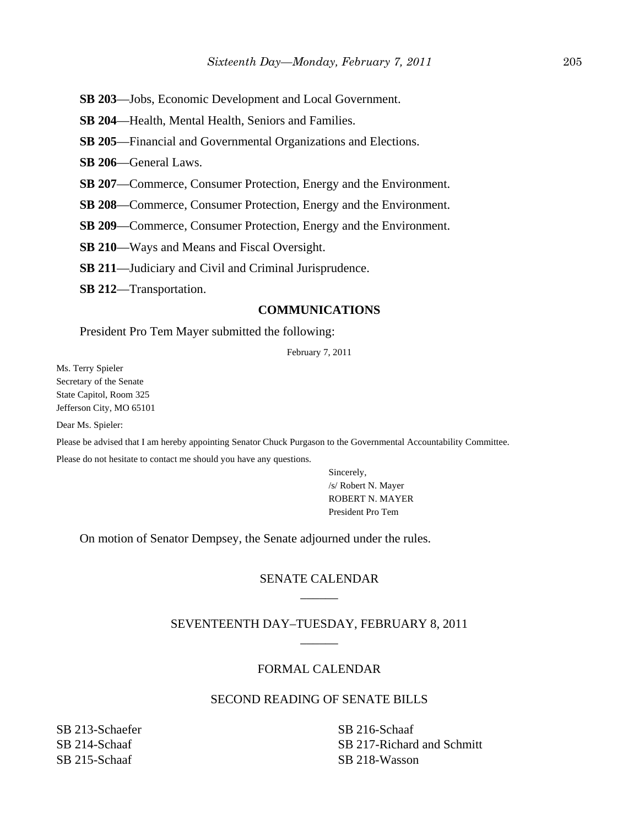- **SB 203**—Jobs, Economic Development and Local Government.
- **SB 204**—Health, Mental Health, Seniors and Families.
- **SB 205**—Financial and Governmental Organizations and Elections.
- **SB 206**—General Laws.
- **SB 207**—Commerce, Consumer Protection, Energy and the Environment.
- **SB 208**—Commerce, Consumer Protection, Energy and the Environment.
- **SB 209**—Commerce, Consumer Protection, Energy and the Environment.
- **SB 210**—Ways and Means and Fiscal Oversight.
- **SB 211**—Judiciary and Civil and Criminal Jurisprudence.
- **SB 212**—Transportation.

## **COMMUNICATIONS**

President Pro Tem Mayer submitted the following:

February 7, 2011

Ms. Terry Spieler Secretary of the Senate State Capitol, Room 325 Jefferson City, MO 65101

Dear Ms. Spieler:

Please be advised that I am hereby appointing Senator Chuck Purgason to the Governmental Accountability Committee.

Please do not hesitate to contact me should you have any questions.

Sincerely, /s/ Robert N. Mayer ROBERT N. MAYER President Pro Tem

On motion of Senator Dempsey, the Senate adjourned under the rules.

## SENATE CALENDAR \_\_\_\_\_\_

## SEVENTEENTH DAY–TUESDAY, FEBRUARY 8, 2011 \_\_\_\_\_\_

#### FORMAL CALENDAR

## SECOND READING OF SENATE BILLS

SB 213-Schaefer SB 214-Schaaf SB 215-Schaaf

SB 216-Schaaf SB 217-Richard and Schmitt SB 218-Wasson